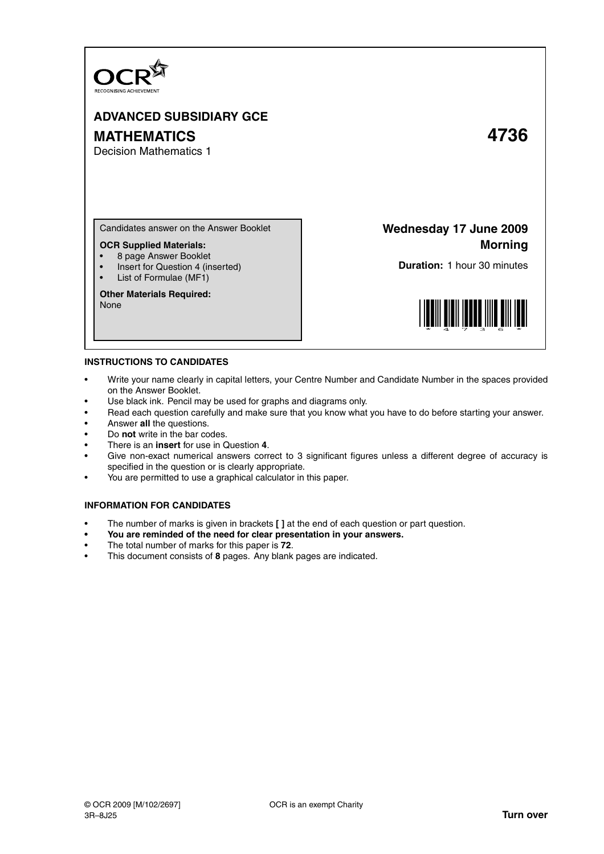

# **ADVANCED SUBSIDIARY GCE MATHEMATICS 4736**

Decision Mathematics 1

Candidates answer on the Answer Booklet

### **OCR Supplied Materials:**

- 8 page Answer Booklet
- Insert for Question 4 (inserted)
- List of Formulae (MF1)

# **Other Materials Required:**

None

**Wednesday 17 June 2009 Morning**

**Duration:** 1 hour 30 minutes



#### **INSTRUCTIONS TO CANDIDATES**

- Write your name clearly in capital letters, your Centre Number and Candidate Number in the spaces provided on the Answer Booklet.
- Use black ink. Pencil may be used for graphs and diagrams only.
- Read each question carefully and make sure that you know what you have to do before starting your answer.
- Answer **all** the questions.
- Do **not** write in the bar codes.
- There is an **insert** for use in Question **4**.
- Give non-exact numerical answers correct to 3 significant figures unless a different degree of accuracy is specified in the question or is clearly appropriate.
- You are permitted to use a graphical calculator in this paper.

#### **INFORMATION FOR CANDIDATES**

- The number of marks is given in brackets **[ ]** at the end of each question or part question.
- **You are reminded of the need for clear presentation in your answers.**
- The total number of marks for this paper is **72**.
- This document consists of **8** pages. Any blank pages are indicated.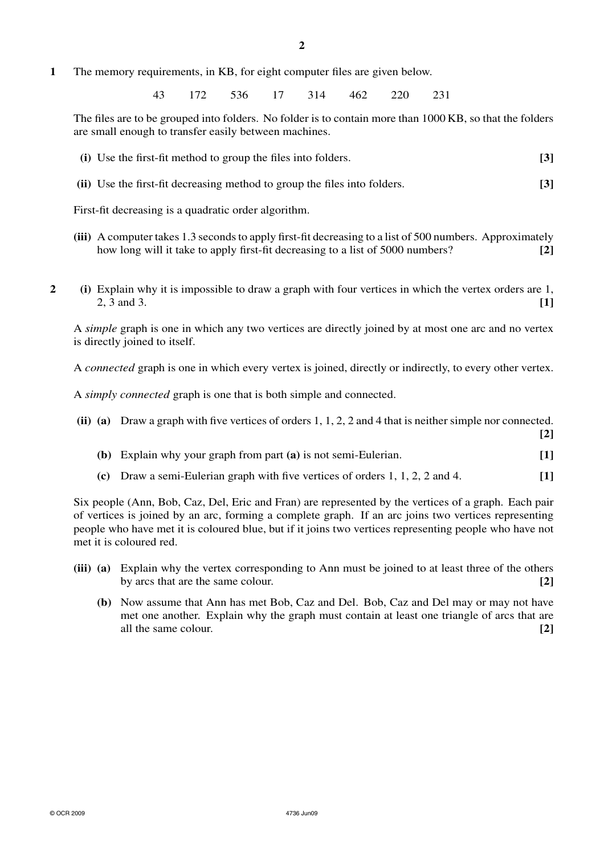**1** The memory requirements, in KB, for eight computer files are given below.

43 172 536 17 314 462 220 231

The files are to be grouped into folders. No folder is to contain more than 1000 KB, so that the folders are small enough to transfer easily between machines.

- **(i)** Use the first-fit method to group the files into folders. **[3]**
- **(ii)** Use the first-fit decreasing method to group the files into folders. **[3]**

First-fit decreasing is a quadratic order algorithm.

- **(iii)** A computer takes 1.3 seconds to apply first-fit decreasing to a list of 500 numbers. Approximately how long will it take to apply first-fit decreasing to a list of 5000 numbers? **[2]**
- **2 (i)** Explain why it is impossible to draw a graph with four vertices in which the vertex orders are 1, 2, 3 and 3. **[1]**

A *simple* graph is one in which any two vertices are directly joined by at most one arc and no vertex is directly joined to itself.

A *connected* graph is one in which every vertex is joined, directly or indirectly, to every other vertex.

A *simply connected* graph is one that is both simple and connected.

**(ii) (a)** Draw a graph with five vertices of orders 1, 1, 2, 2 and 4 that is neither simple nor connected.

**(b)** Explain why your graph from part **(a)** is not semi-Eulerian. **[1]**

**[2]**

**(c)** Draw a semi-Eulerian graph with five vertices of orders 1, 1, 2, 2 and 4. **[1]**

Six people (Ann, Bob, Caz, Del, Eric and Fran) are represented by the vertices of a graph. Each pair of vertices is joined by an arc, forming a complete graph. If an arc joins two vertices representing people who have met it is coloured blue, but if it joins two vertices representing people who have not met it is coloured red.

- **(iii) (a)** Explain why the vertex corresponding to Ann must be joined to at least three of the others by arcs that are the same colour. **[2]**
	- **(b)** Now assume that Ann has met Bob, Caz and Del. Bob, Caz and Del may or may not have met one another. Explain why the graph must contain at least one triangle of arcs that are all the same colour. **[2]**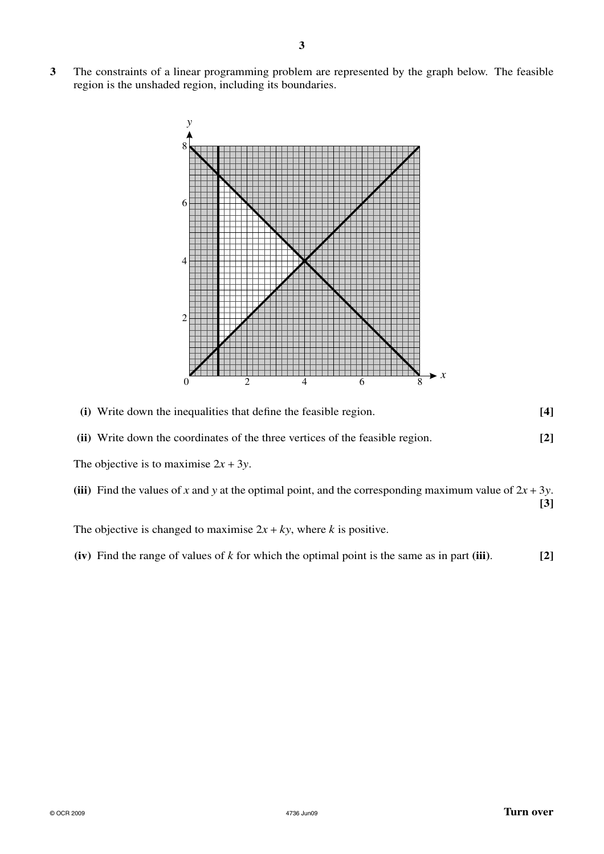**3** The constraints of a linear programming problem are represented by the graph below. The feasible region is the unshaded region, including its boundaries.



- **(i)** Write down the inequalities that define the feasible region. **[4]**
- **(ii)** Write down the coordinates of the three vertices of the feasible region. **[2]**

The objective is to maximise  $2x + 3y$ .

| (iii) Find the values of x and y at the optimal point, and the corresponding maximum value of $2x + 3y$ . |  |
|-----------------------------------------------------------------------------------------------------------|--|
|                                                                                                           |  |

The objective is changed to maximise  $2x + ky$ , where *k* is positive.

**(iv)** Find the range of values of *k* for which the optimal point is the same as in part **(iii)**. **[2]**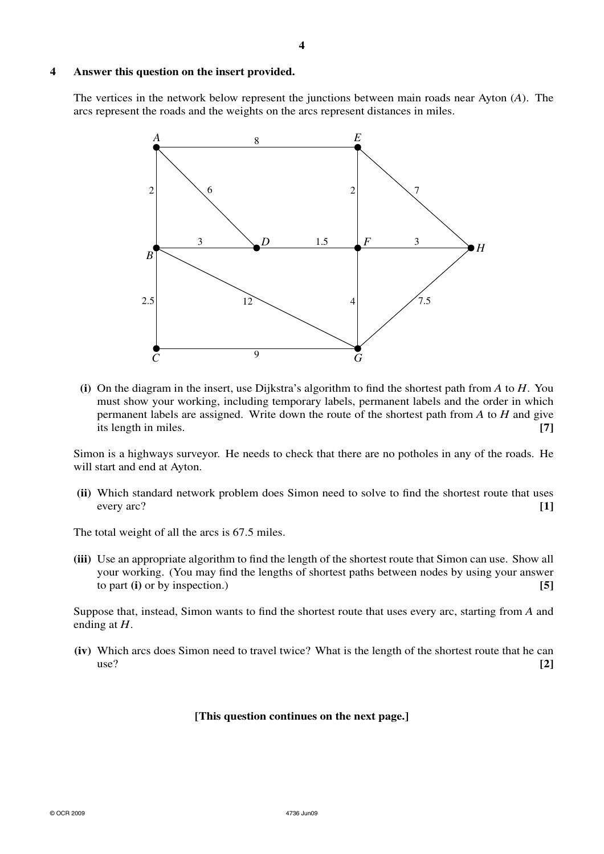#### **4 Answer this question on the insert provided.**

The vertices in the network below represent the junctions between main roads near Ayton (*A*). The arcs represent the roads and the weights on the arcs represent distances in miles.



**(i)** On the diagram in the insert, use Dijkstra's algorithm to find the shortest path from *A* to *H*. You must show your working, including temporary labels, permanent labels and the order in which permanent labels are assigned. Write down the route of the shortest path from *A* to *H* and give its length in miles. **[7]**

Simon is a highways surveyor. He needs to check that there are no potholes in any of the roads. He will start and end at Ayton.

**(ii)** Which standard network problem does Simon need to solve to find the shortest route that uses every arc? **[1]**

The total weight of all the arcs is 67.5 miles.

**(iii)** Use an appropriate algorithm to find the length of the shortest route that Simon can use. Show all your working. (You may find the lengths of shortest paths between nodes by using your answer to part **(i)** or by inspection.) **[5]**

Suppose that, instead, Simon wants to find the shortest route that uses every arc, starting from *A* and ending at *H*.

**(iv)** Which arcs does Simon need to travel twice? What is the length of the shortest route that he can use? **[2]**

#### **[This question continues on the next page.]**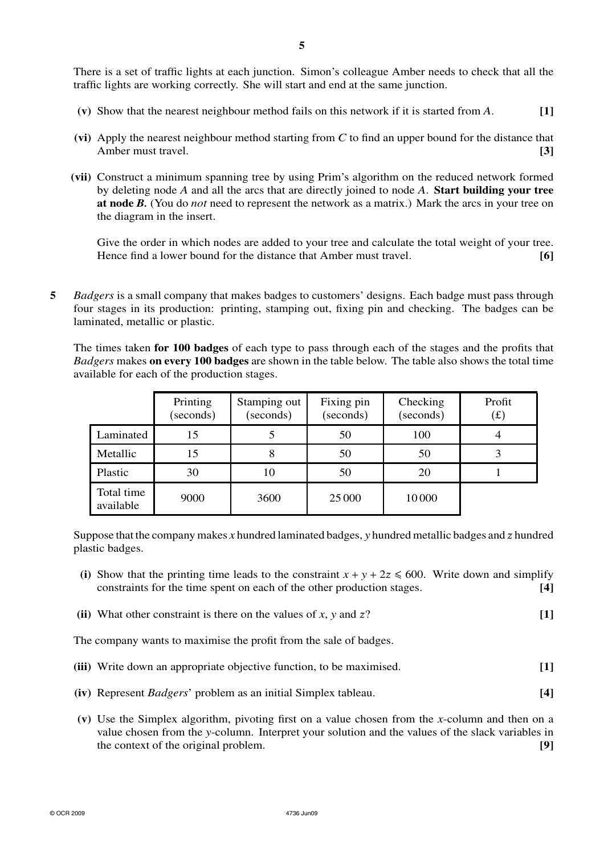There is a set of traffic lights at each junction. Simon's colleague Amber needs to check that all the traffic lights are working correctly. She will start and end at the same junction.

- **(v)** Show that the nearest neighbour method fails on this network if it is started from *A*. **[1]**
- **(vi)** Apply the nearest neighbour method starting from *C* to find an upper bound for the distance that Amber must travel. **[3] [3]**
- **(vii)** Construct a minimum spanning tree by using Prim's algorithm on the reduced network formed by deleting node *A* and all the arcs that are directly joined to node *A*. **Start building your tree at node** *B.* (You do *not* need to represent the network as a matrix.) Mark the arcs in your tree on the diagram in the insert.

Give the order in which nodes are added to your tree and calculate the total weight of your tree. Hence find a lower bound for the distance that Amber must travel. **[6]**

**5** *Badgers* is a small company that makes badges to customers' designs. Each badge must pass through four stages in its production: printing, stamping out, fixing pin and checking. The badges can be laminated, metallic or plastic.

The times taken **for 100 badges** of each type to pass through each of the stages and the profits that *Badgers* makes **on every 100 badges** are shown in the table below. The table also shows the total time available for each of the production stages.

|                         | Printing<br>(seconds) | Stamping out<br>(seconds) | Fixing pin<br>(seconds) | Checking<br>(seconds) | Profit<br>$(\text{\textsterling})$ |
|-------------------------|-----------------------|---------------------------|-------------------------|-----------------------|------------------------------------|
| Laminated               | 15                    |                           | 50                      | 100                   |                                    |
| Metallic                | 15                    | 8                         | 50                      | 50                    |                                    |
| Plastic                 | 30                    | 10                        | 50                      | 20                    |                                    |
| Total time<br>available | 9000                  | 3600                      | 25 000                  | 10000                 |                                    |

Suppose that the company makes  $x$  hundred laminated badges,  $y$  hundred metallic badges and  $z$  hundred plastic badges.

- (i) Show that the printing time leads to the constraint  $x + y + 2z \le 600$ . Write down and simplify constraints for the time spent on each of the other production stages. **[4]**
- **(ii)** What other constraint is there on the values of *x*, *y* and  $z$ ? [1]

The company wants to maximise the profit from the sale of badges.

- **(iii)** Write down an appropriate objective function, to be maximised. **[1]**
- **(iv)** Represent *Badgers*' problem as an initial Simplex tableau. **[4]**
- **(v)** Use the Simplex algorithm, pivoting first on a value chosen from the *x*-column and then on a value chosen from the *y*-column. Interpret your solution and the values of the slack variables in the context of the original problem. **[9]**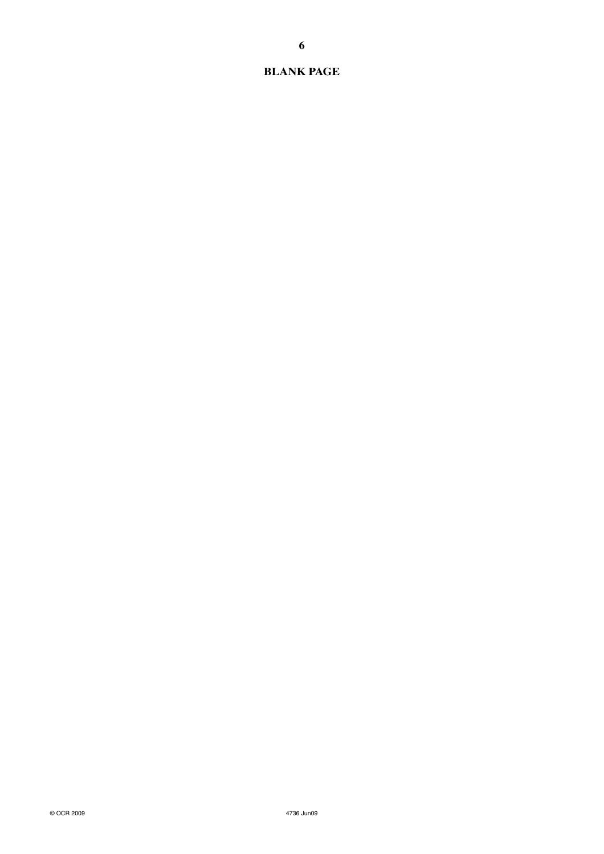## **BLANK PAGE**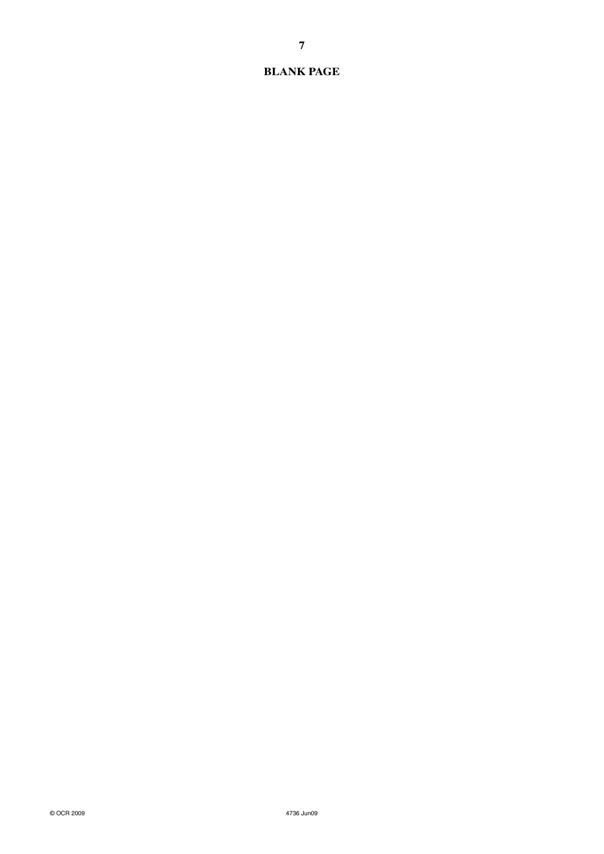# **BLANK PAGE**